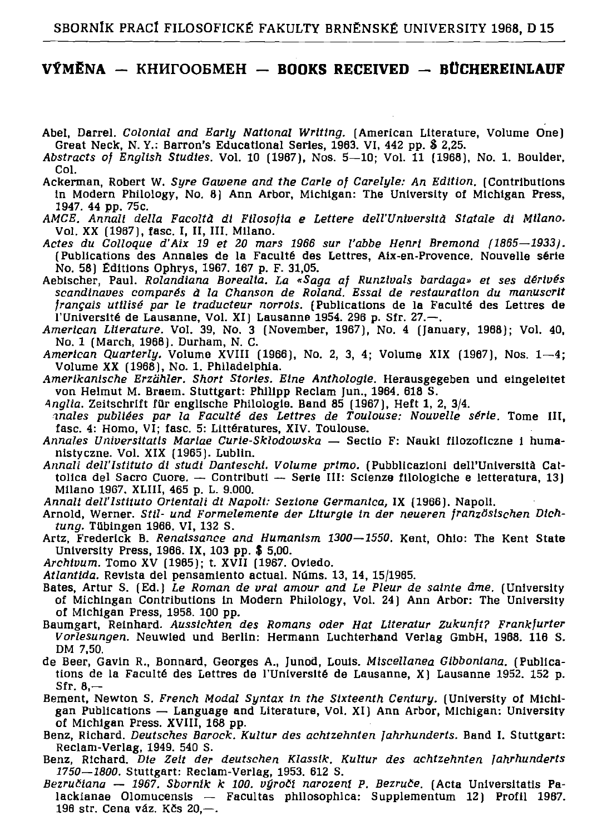## VÝMĚNA — KH $\mu$ FOOBMEH — BOOKS RECEIVED — BÜCHEREINLAUF

- Abel, Darrel, Colonial and Early National Writing, (American Literature, Volume One) Great Neck, N.Y.: Barron's Educational Series, 1963. VI, 442 pp. \$ 2,25.
- Abstracts of English Studies. Vol. 10 (1967), Nos. 5-10: Vol. 11 (1968), No. 1. Boulder, Col.
- Ackerman, Robert W. Syre Gawene and the Carle of Carelyle: An Edition, (Contributions in Modern Philology, No. 8) Ann Arbor, Michigan: The University of Michigan Press, 1947. 44 рр. 75с.
- AMCE, Annali della Facoltà di Filosofia e Lettere dell'Università Statale di Milano. Vol. XX (1967), fasc. I, II, III. Milano.
- Actes du Colloque d'Aix 19 et 20 mars 1966 sur l'abbe Henri Bremond (1865-1933). (Publications des Annales de la Faculté des Lettres, Aix-en-Provence. Nouvelle série No. 58) Éditions Ophrys, 1967. 167 p. F. 31,05.
- Aebischer, Paul. Rolandiana Borealia. La «Saga af Runzivals bardaga» et ses dérivés scandinaves comparés à la Chanson de Roland. Essai de restauration du manuscrit français utilisé par le traducteur norrois. (Publications de la Faculté des Lettres de l'Université de Lausanne, Vol. XI) Lausanne 1954. 296 p. Sfr. 27.—.<br>American Literature. Vol. 39, No. 3 (November, 1967), No. 4 (January, 1968); Vol. 40,
- No. 1 (March, 1968). Durham, N. C.
- American Quarterly. Volume XVIII (1966), No. 2, 3, 4; Volume XIX (1967), Nos. 1-4; Volume XX (1968), No. 1. Philadelphia.
- Amerikanische Erzähler. Short Stories. Eine Anthologie. Herausgegeben und eingeleitet von Helmut M. Braem. Stuttgart: Philipp Reclam Jun., 1964. 618 S.
- Anglia. Zeitschrift für englische Philologie. Band 85 (1967), Heft 1, 2, 3/4.
- anales publiées par la Faculté des Lettres de Toulouse: Nouvelle série, Tome III, fasc. 4: Homo. VI: fasc. 5: Littératures. XIV. Toulouse.
- Annales Universitatis Mariae Curie-Skłodowska Sectio F: Nauki filozoficzne i humanistyczne. Vol. XIX [1965]. Lublin.
- Annali dell'Istituto di studi Danteschi. Volume primo, (Pubblicazioni dell'Università Cattolica del Sacro Cuore. - Contributi -- Serie III: Scienze filologiche e letteratura, 13) Milano 1967, XLIII, 465 p. L. 9.000.
- Annali dell'Istituto Orientali di Napoli: Sezione Germanica, IX (1966). Napoli.
- Arnold, Werner. Stil- und Formelemente der Liturgie in der neueren französischen Dichtung. Tübingen 1966, VI, 132 S.
- Artz, Frederick B. Renaissance and Humanism 1300-1550. Kent, Ohio: The Kent State University Press, 1966. IX, 103 pp. \$ 5,00.
- Archivum. Tomo XV (1965); t. XVII (1967. Oviedo.
- Atlantida. Revista del pensamiento actual. Núms. 13, 14, 15/1965.
- Bates, Artur S. (Ed.) Le Roman de vrat amour and Le Pleur de sainte âme. (University of Michingan Contributions in Modern Philology, Vol. 24) Ann Arbor: The University of Michigan Press, 1958. 100 pp.
- Baumgart, Reinhard. Aussichten des Romans oder Hat Literatur Zukunft? Frankfurter Vorlesungen. Neuwied und Berlin: Hermann Luchterhand Verlag GmbH, 1968. 116 S. DM 7.50.
- de Beer, Gavin R., Bonnard, Georges A., Junod, Louis. Miscellanea Gibboniana. (Publications de la Faculté des Lettres de l'Université de Lausanne, X | Lausanne 1952, 152 p.  $Sfr. 8, -$
- Bement, Newton S. French Modal Syntax in the Sixteenth Century. (University of Michigan Publications - Language and Literature, Vol. XI) Ann Arbor, Michigan: University of Michigan Press. XVIII, 168 pp.
- Benz, Richard. Deutsches Barock. Kultur des achtzehnten Jahrhunderts. Band I. Stuttgart: Reclam-Verlag, 1949. 540 S.
- Benz, Richard, Die Zeit der deutschen Klassik, Kultur des achtzehnten Jahrhunderts 1750-1800. Stuttgart: Reclam-Verlag, 1953. 612 S.
- Bezručiana 1967. Sborník k 100. výročí narození P. Bezruče. (Acta Universitatis Palackianae Olomucensis -- Facultas philosophica: Supplementum 12) Profil 1967. 196 str. Cena váz. Kčs 20,-.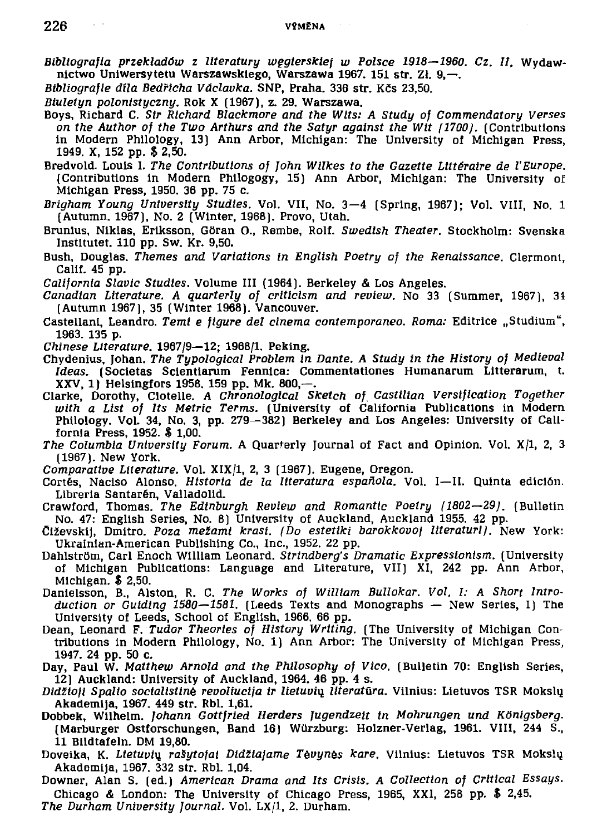- *Bibliografla przekladów z literatury wegtersktej w Polsce 1918—1960. Cz. II.* Wydaw nictwo Uniwersytetu Warszawskiego, Warszawa 1967. 151 str. Zł. 9.—.
- Bibliografie díla Bedřicha Václavka. SNP, Praha, 336 str. Kčs 23,50.
- Biuletyn polonistyczny. Rok X (1967), z. 29. Warszawa.
- Boys, Richard C. Str Richard Blackmore and the Wits: A Study of Commendatory Verses *on the Author of the Two Arthurs and the Satyr against the Wit (1700).* (Contributions in Modern Philology, 13) Ann Arbor, Michigan: The University of Michigan Press, 1949. X, 152 pp. \$ 2,50.
- Bredvold. Louis I. The Contributions of John Wilkes to the Gazette Littéraire de l'Europe. (Contributions in Modern Philogogy, 15) Ann Arbor, Michigan: The University of Michigan Press, 1950. 36 pp. 75 c.
- Briaham Young University Studies. Vol. VII, No. 3-4 (Spring, 1967); Vol. VIII, No. 1 (Autumn, 1967), No. 2 (Winter, 1968). Provo, Utah.
- Brunius, Niklas, Eriksson, Göran O., Rembe, Rolf. Swedish Theater, Stockholm: Svenska Institutet, 110 pp. Sw. Kr. 9,50.
- Bush, Douglas, Themes and Variations in English Poetry of the Renaissance. Clermont, Calif. 45 pp.
- *California Slavic Studies.* Volume III (1964). Berkeley & Los Angeles.
- *Canadian Literature. A quarterly of criticism and review.* No 33 (Summer, 1967), 34 (Autumn 1967), 35 (Winter 1968). Vancouver.
- Castellani, Leandro. Temt e figure del cinema contemporaneo. Roma: Editrice "Studium", 1963. 135 p.
- *Chinese Literature.* 1967/9-12: 1968/1. Peking.
- Chydenius , Johan . *The Typological Problem in Dante. A Study in the History of Medieval*  Ideas. (Societas Scientiarum Fennica: Commentationes Humanarum Litterarum, t.
- XXV, 1) Heisingfors 1958. 159 pp. Mk. 800,—.<br>Clarke, Dorothy, Clotelle. *A Chronological Sketch of Castilian Versification Together* with a List of Its Metric Terms. (University of California Publications in Modern Philology. Vol. 34, No. 3, pp. 279-382) Berkeley and Los Angeles: University of Callfornia Press, 1952. \$ 1,00.
- *The Columbia University Forum.* A Quarterly Journal of Fact and Opinion, Vol. X/1, 2, 3 (1967). New York.
- *Comparative Literature.* Vol. XIX/1, 2, 3 (1967). Eugene, Oregon.
- Cortés, Naciso Alonso. *Historia de la literatura española*. Vol. I-II. Quinta edición.
- Libreria Santarén, Valladolid.<br>Crawford, Thomas. *The Edinburgh Review and Romantic Poetry (1802—29)*. (Bulletin No. 47: English Series, No. 8) University of Auckland, Auckland 1955. 42 pp.
- Čiževskij, Dmítro. *Poza mežami krasi. (Do estetiki barokkovoj literaturi).* New York: Ukrainian-American Publishing Co., Inc., 1952. 22 pp.
- Dahlström, Carl Enoch William Leonard. Strindberg's Dramatic Expressionism. [University of Michigan Publications: Language and Literature, VII] XI, 242 pp. Ann Arbor, Michigan. \$ 2,50.
- Danielsson, B., Alston, R. C. The Works of William Bullokar. Vol. 1: A Short Intro*duction or Guiding 1580-1581.* (Leeds Texts and Monographs - New Series, I) The University of Leeds, School of English, 1966. 66 pp.
- Dean, Leonard F. Tudor Theortes of History Writing. (The University of Michigan Contributions in Modern Philology, No. 1) Ann Arbor: The University of Michigan Press, 1947. 24 pp. 50 c.
- Day, Paul W. Matthew Arnold and the Philosophy of Vico. (Bulletin 70: English Series,  $12$ ) Auckland: University of Auckland, 1964. 46 pp. 4 s.
- Didžloji Spalio soctalistinė revoliucija ir lietuvių *literatūra*. Vilnius: Lietuvos TSR Mokslu Akademija, 1967. 449 str. Rbl. 1,61.
- Dobbek , Wilhelm . *Johann Gottfried Herders Jugendzeit in Mohrungen und Königsberg.*  (Marburger Ostforschungen, Band 16) Würzburg: Holzner-Verlag, 1961. VIII, 244 S., 11 Bildtafeln. DM 19,80.
- Doveika, K. Lietuvių rašytojai Didžiajame Tėvynės kare. Vilnius: Lietuvos TSR Mokslų Akademija, 1967. 332 str. Rbl. 1,04.
- Downer, Alan S. (ed.) American Drama and Its Crisis. A Collection of Critical Essays. Chicago & London: The University of Chicago Press, 1965, XXI, 258 pp.  $$2,45$ .
- The Durham University Journal. Vol. LX/1, 2. Durham.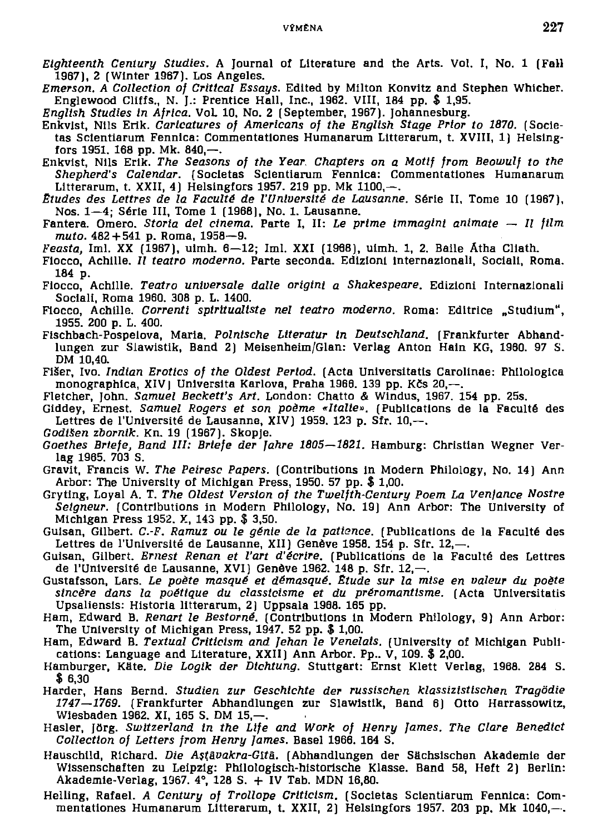- *Eighteenth Century Studies.* A Journal of Literature and the Arts. Vol. I, No. 1 (Fall 1967), 2 (Winter 1967). Los Angeles.
- *Emerson. A Collection of Critical Essays.* Edited by Milton Konvitz and Stephen Whicher. Englewood Cliffs., N. J.: Prentice Hall, Inc., 1962. VIII, 184 pp.  $$1,95$ .
- English Studies in Africa. Vol. 10, No. 2 (September, 1967). Johannesburg.
- Enkvist, Nils Erik*. Caricatures of Americans of the English Stage Prior to 1870.* (Societas Scientiarum Fennica: Commentationes Humanarum Litterarum, t. XVIII, 1) Helsingfors 1951, 168 pp. Mk, 840, $-$ ,
- Enkvist, Nils Erik. The Seasons of the Year. Chapters on a Motif from Beowulf to the Shepherd's Calendar. (Societas Scientiarum Fennica: Commentationes Humanarum Litterarum, t. XXII, 4) Helsingfors 1957. 219 pp. Mk 1100, $-$ .
- Etudes des Lettres de la Faculté de l'Université de Lausanne. Série II, Tome 10 (1967), Nos.  $1-4$ : Série III, Tome 1 (1968), No. 1. Lausanne.
- Fantera. Omero. *Storta del cinema.* Parte I, II: Le prime immagini animate Il film *muto.* 482 + 541 p. Roma, 1958-9.
- *Feasta*, Iml. XX (1967), uimh. 6—12; Iml. XXI (1968), uimh. 1, 2. Baile Átha Cliath.
- Fiocco, Achille. *Il teatro moderno.* Parte seconda. Edizioni internazionali, Sociali, Roma. 184 p.
- Fiocco, Achille, Teatro universale dalle origini a Shakespeare, Edizioni Internazionali Sociali, Roma 1960. 308 p. L. 1400.
- Fiocco, Achille. *Correnti spiritualiste nel teatro moderno*. Roma: Editrice "Studium", 1955. 200 p. L. 400.
- Fischbach-Pospelova, Maria, Polnische Literatur in Deutschland. (Frankfurter Abhandlungen zur Slawistik, Band 2) Meisenheim/Glan: Verlag Anton Hain KG, 1960. 97 S. DM 10,40.
- Fišer, Ivo, *Indian Erotics of the Oldest Period*. (Acta Universitatis Carolinae: Philologica monographica, XIV | Universita Karlova, Praha 1966. 139 pp. Kčs  $20, -1$ .
- Fletcher, John. Samuel Beckett's Art. London: Chatto & Windus, 1967. 154 pp. 25s.
- Giddey, Ernest. Samuel Rogers et son poème «Italie». (Publications de la Faculté des Lettres de l'Université de Lausanne, XIV) 1959. 123 p. Sfr. 10,--.
- *Godtšen zbornik.* Kn. 19 (1967). Skopje.
- *Goethes Briefe, Band III: Briefe der Jahre 1805—1821.* Hamburg: Christian Wegner Verlag 1965, 703 S.
- Gravit, Francis W. *The Peiresc Papers*. (Contributions in Modern Philology, No. 14) Ann Arbor: The University of Michigan Press, 1950. 57 pp.  $$1,00$ .
- Gryting, Loyal A. T. The Oldest Version of the Twelfth-Century Poem La Venjance Nostre Seigneur. (Contributions in Modern Philology, No. 19) Ann Arbor: The University of Michigan Press 1952. X, 143 pp. \$ 3,50.
- Guisan, Gilbert. C.-F. Ramuz ou le génie de la patience. (Publications de la Faculté des Lettres de l'Université de Lausanne, XII) Genève 1958. 154 p. Sfr. 12,- $\dots$
- Guisan, Gilbert. *Ernest Renan et l'art d'écrire*. (Publications de la Faculté des Lettres de l'Université de Lausanne, XVI) Genève 1962. 148 p. Sfr. 12,-.
- Gustafsson , Lars . *Le poete masqué et démasqué. Etude sur la mtse en valeur du poete*  sincère dans la poétique du classicisme et du préromantisme. (Acta Universitatis Upsaliensis: Historia litterarum, 2) Uppsala 1968. 165 pp.
- Ham, Edward B. *Renart le Bestorné*. (Contributions in Modern Philology, 9) Ann Arbor: The University of Michigan Press, 1947. 52 pp. \$ 1,00.
- Ham, Edward B. Textual Criticism and Jehan le Venelais. (University of Michigan Publications: Language and Literature,  $XXII$ ) Ann Arbor. Pp.  $V$ , 109.  $$2,00$ .
- Hamburger, Käte. *Die Logik der Dichtung*. Stuttgart: Ernst Klett Verlag, 1968. 284 S. \$ 6,30
- Harder, Hans Bernd. Studien zur Geschichte der russischen klassizistischen Tragödie 1747—1769. (Frankfurter Abhandlungen zur Slawistik, Band 6) Otto Harrassowitz, Wiesbaden 1962. XI. 165 S. DM 15.—.
- Hasler , Jörg . *Switzerland In the Life and Work of Henry James. The Clare Benedict Collection of Letters from Henry James.* Basel 1966. 164 S.
- Hauschild, Richard. *Die Astävakra-Gitä*. (Abhandlungen der Sächsischen Akademie der Wissenschaften zu Leipzig: Philologisch-historische Klasse. Band 58, Heft 2) Berlin: Akademie-Verlag, 1967.  $4^{\circ}$ , 128 S.  $+$  IV Tab. MDN 16,80.
- Helling, Rafael. *A Century of Trollope Criticism*. (Societas Scientiarum Fennica: Commentationes Humanarum Litterarum, t. XXII, 2) Helsingfors 1957. 203 pp. Mk 1040,-.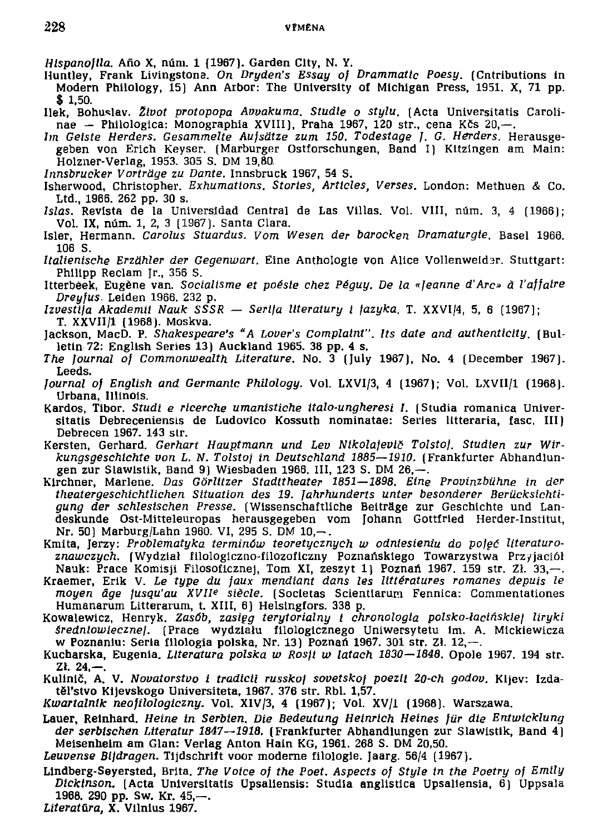Hispanofila, Año X, núm. 1 (1967). Garden City, N.Y.

- Huntley, Frank Livingstone. On Dryden's Essay of Drammatic Poesy. (Cntributions in Modern Philology, 15) Ann Arbor: The University of Michigan Press, 1951. X, 71 pp.  $$1.50.$
- Ilek, Bohuslav. Život protopopa Avvakuma. Studie o stylu. (Acta Universitatis Carolinae - Philologica: Monographia XVIII), Praha 1967, 120 str., cena Kčs 20.-
- Im Geiste Herders. Gesammelte Aufsätze zum 150. Todestage J. G. Herders. Herausgegeben von Erich Keyser, (Marburger Ostforschungen, Band I) Kitzingen am Main: Holzner-Verlag, 1953. 305 S. DM 19.80.
- Innsbrucker Vorträge zu Dante. Innsbruck 1967, 54 S.
- Isherwood, Christopher, Exhumations, Stories, Articles, Verses, London: Methuen & Co. Ltd., 1966. 262 pp. 30 s.
- Islas. Revista de la Universidad Central de Las Villas. Vol. VIII, núm. 3, 4 (1966);<br>Vol. IX, núm. 1, 2, 3 (1967). Santa Clara.
- Isler, Hermann. Carolus Stuardus. Vom Wesen der barocken Dramaturgie. Basel 1966. 106 S.
- Italienische Erzähler der Gegenwart. Eine Anthologie von Alice Vollenweider. Stuttgart: Philipp Reclam Jr., 356 S.
- Itterbeek, Eugène van. Socialisme et poésie chez Péguy. De la «Jeanne d'Arc» à l'affaire Dreufus, Leiden 1966, 232 p.
- Izvestija Akademii Nauk SSSR Serija literaturų į jazyka, T. XXVI/4, 5, 6 (1967); T. XXVII/1 (1968). Moskva.
- Jackson, MacD. P. Shakespeare's "A Lover's Complaint". Its date and authenticity. (Bulletin 72: English Series 13) Auckland 1965. 38 pp. 4 s.
- The Journal of Commonwealth Literature, No. 3 (July 1967), No. 4 (December 1967). Leeds.
- Journal of English and Germanic Philology. Vol. LXVI/3, 4 (1967); Vol. LXVII/1 (1968). Urbana, Illinois.
- Kardos, Tibor. Studi e ricerche umanistiche italo-ungheresi I. (Studia romanica Universitatis Debreceniensis de Ludovico Kossuth nominatae: Series litteraria, fasc, III) Debrecen 1967. 143 str.
- Kersten, Gerhard, Gerhart Hauptmann und Lev Nikolajevič Tolstoj, Studien zur Wirkungsgeschichte von L. N. Tolstoj in Deutschland 1885-1910. (Frankfurter Abhandlungen zur Slawistik, Band 9) Wiesbaden 1966, III, 123 S, DM 26,-.
- Kirchner, Marlene, Das Görlitzer Stadttheater 1851–1898, Eine Provinzbühne in der theatergeschichtlichen Situation des 19. Jahrhunderts unter besonderer Berücksichtigung der schlestschen Presse. (Wissenschaftliche Beiträge zur Geschichte und Landeskunde Ost-Mitteleuropas herausgegeben vom Johann Gottfried Herder-Institut, Nr. 50) Marburg/Lahn 1960. VI, 295 S. DM 10.-.
- Kmita, Jerzy: Problematyka terminów teoretycznych w odniesieniu do pojęć literaturoznawczych. [Wydział filologiczno-filozoficzny Poznańskiego Towarzystwa Przyjaciół Nauk: Prace Komisji Filosoficznej, Tom XI, zeszyt 1) Poznań 1967. 159 str. Zł. 33,-.
- Kraemer, Erik V. Le type du jaux mendiant dans les littératures romanes depuis le moyen âge jusqu'au XVII<sup>e</sup> siècle. (Societas Scientiarum Fennica; Commentationes Humanarum Litterarum, t. XIII, 6) Helsingfors. 338 p.
- Kowalewicz, Henryk. Zasób, zasięg terytorialny i chronologia polsko-łacińskiej liryki średniowiecznej. (Prace wydziału filologicznego Uniwersytetu im. A. Mickiewicza w Poznaniu: Seria filologia polska, Nr. 13) Poznań 1967. 301 str. Zł. 12,--.
- Kucharska, Eugenia, Literatura polska w Rosji w latach 1830-1848. Opole 1967, 194 str.  $Zl. 24, -$ .
- Kulinič, A. V. Novatorstvo i tradicii russkoj sovetskoj poezii 20-ch godov. Kljev: Izdatěl'stvo Kijevskogo Universiteta, 1967. 376 str. Rbl. 1,57.

Kwartalnik neofilologiczny. Vol. XIV/3, 4 (1967); Vol. XV/1 (1968). Warszawa.

- Lauer, Reinhard. Heine in Serbien. Die Bedeutung Heinrich Heines für die Entwicklung der serbischen Literatur 1847-1918. (Frankfurter Abhandlungen zur Slawistik, Band 4) Meisenheim am Glan: Verlag Anton Hain KG, 1961. 268 S. DM 20,50.
- Leuvense Bijdragen. Tijdschrift voor moderne filologie. Jaarg. 56/4 (1967).
- Lindberg-Seyersted, Brita, The Voice of the Poet, Aspects of Style in the Poetry of Emily Dickinson. [Acta Universitatis Upsaliensis: Studia anglistica Upsaliensia, 6] Uppsala 1968. 290 pp. Sw. Kr. 45,—.

Literatūra, X. Vilnius 1967.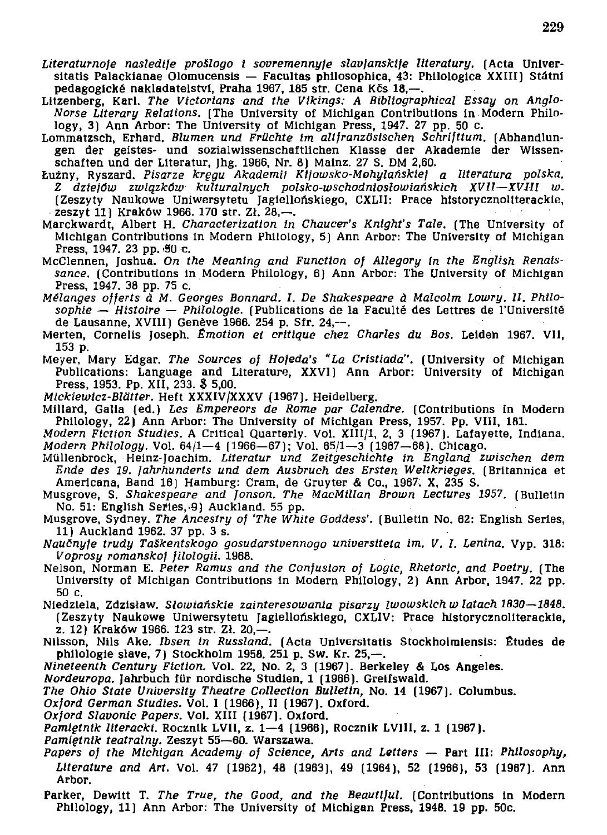- Literaturnoje nasledije prošlogo i sovremennyje slavjanskije literatury. (Acta Universitatis Palackianae Olomucensis — Facultas philosophica, 43: Philologica XXIII) Státní pedagogické nakladatelství, Praha 1967, 185 str. Cena Kčs 18,-.
- Litzenberg, Karl. The Victorians and the Vikings: A Bibliographical Essay on Anglo-*Norse Literary Relations.* [The University of Michigan Contributions in Modern Philology, 3) Ann Arbor: The University of Michigan Press, 1947. 27 pp. 50 c.
- Lommatzsch , Erhard . *Blumen und Früchte im altjranzöstschen Schrifttum.* (Abhandlun gen der geistes- und sozialwissenschaftlichen Klasse der Akademie der Wissenschaften und der Literatur, Jhg. 1966, Nr. 8) Mainz. 27 S. DM 2,60.
- Lužny , Ryszard . *Pisarze kregu Akademii Ktfowsko-Mohylaňskie) a literatura polska. Z dziejůw zwiqzków kulturalnych polsko-wschodnioslowianskich XVII—XVlll w.*  (Zeszyty Naukowe Uniwersytetu Jaglellońskiego, CXLII: Prace historycznoliterackie, zeszyt 11) Kraków 1966. 170 str. Zł. 28,-
- Marckwardt, Albert H. Characterization in Chaucer's Knight's Tale. (The University of Michigan Contributions in Modern Philology, 5) Ann Arbor: The University of Michigan Press, 1947. 23 pp. 50 c.
- McClennen, Joshua. On the Meaning and Function of Allegory in the English Renaissance. (Contributions in Modern Philology, 6) Ann Arbor: The University of Michigan Press, 1947. 38 pp. 75 c.
- *Melanges offerts ä M. Georges Bonnard. I. De Shakespeare á Malcolm Lowry. II. Philo*sophie — Histoire — Philologie. (Publications de la Faculté des Lettres de l'Université de Lausanne, XVIII) Genève 1966. 254 p. Sfr. 24,-
- Merten, Cornelis Joseph. *Émotion et critique chez Charles du Bos.* Leiden 1967, VII.  $153<sub>p</sub>$ .
- Meyer, Mary Edgar. The Sources of Hojeda's "La Cristiada". (University of Michigan Publications: Language and Literature, XXVI) Ann Arbor: University of Michigan Press, 1953. Pp. XII, 233. \$ 5,00.
- *Mickiewicz-Blätter.* Heft XXXIV/XXXV (1967). Heidelberg.
- Millard, Galla (ed.) Les Empereors de Rome par Calendre. (Contributions in Modern Philology, 22) Ann Arbor: The University of Michigan Press, 1957. Pp. VIII, 181.
- *Modern Fiction Studies.* A Critical Quarterly. Vol. XIII/1, 2, 3 (1967). Lafayette, Indiana. *Modern Philology.* Vol. 64/1-4 (1966-67); Vol. 65/1-3 (1967-68). Chicago.
- Müllenbrock , Heinz-Joachim . *Literatur und Zeitgeschichte in England zwischen dem*  Ende des 19. Jahrhunderts und dem Ausbruch des Ersten Weltkrieges. (Britannica et Americana, Band 16) Hamburg: Cram, de Gruyter & Co., 1967. X, 235 S.
- Musgrove, S. Shakespeare and Jonson. The MacMillan Brown Lectures 1957. (Bulletin No. 51: English Series, 9) Auckland. 55 pp.
- Musgrove, Sydney. The Ancestry of 'The White Goddess'. (Bulletin No. 62: English Series. 11) Auckland 1962. 37 pp. 3 s.
- *Naučnyje trudy Taškentskogo gosudarstvennogo universiteta im. V. I. Lenina. Vyp.* 318: *Voprosy románsko] filologii.* 1968 .
- Nelson, Norman E. Peter Ramus and the Confusion of Logic, Rhetoric, and Poetry. (The University of Michigan Contributions in Modern Philology, 2) Ann Arbor, 1947. 22 pp. 50 c.
- Niedzlela , Zdztsiaw . *Slowiaňskie zainteresowania pisarzy iwowsklch w latach 1830—1848.*  (Zeszyty Naukowe Uniwersytetu Jagiellońskiego, CXLIV: Prace historycznoliterackie, z. 12) Kraków 1966. 123 str. Zł. 20,-
- Nilsson, Nils Ake. *Ibsen in Russland*. (Acta Universitatis Stockholmiensis: Études de philologie slave, 7) Stockholm 1958. 251 p. Sw. Kr. 25,-.
- *Nineteenth Century Fiction.* Vol. 22, No. 2, 3 (1967). Berkeley & Los Angeles.
- Nordeuropa. Jahrbuch für nordische Studien, 1 (1966). Greifswald.
- *The Ohio State University Theatre Collection Bulletin, No. 14 (1967). Columbus.*
- Oxford German Studies. Vol. I (1966), II (1967). Oxford.
- *Oxford Slavonic Papers.* Vol. XIII (1967). Oxford.
- *Pamlętnik literacki.* Rocznik LVII, z. 1–4 (1966), Rocznik LVIII, z. 1 (1967).
- Pamietnik teatralny. Zeszyt 55-60. Warszawa.
- *Papers of the Michigan Academy of Science, Arts and Letters* -- Part III: Philosophy, Literature and Art. Vol. 47 (1962), 48 (1963), 49 (1964), 52 (1966), 53 (1967). Ann Arbor.
- Parker, Dewitt T. The True, the Good, and the Beautiful. (Contributions in Modern Philology, 11) Ann Arbor: The University of Michigan Press, 1948. 19 pp. 50c.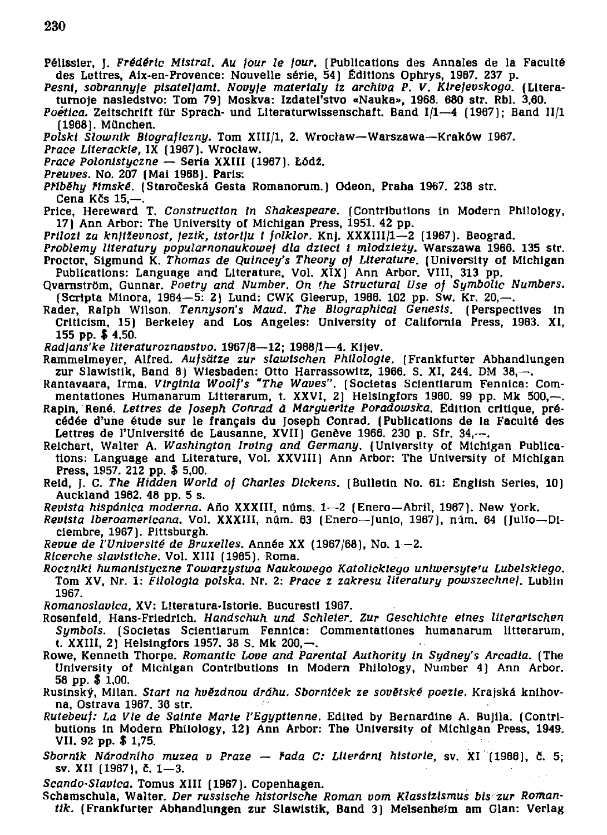- Pélissier, J. Frédéric Mistral. Au jour le jour. (Publications des Annales de la Faculté des Lettres, Aix-en-Provence: Nouvelle série, 54) Éditions Ophrys, 1967, 237 p.
- Pesni, sobrannyje pisateljamt. Novyje materialy iz archiva P. V. Kirejevskogo. (Literaturnoje nasledstvo: Tom 79) Moskva: Izdateľstvo «Nauka», 1968. 680 str. Rbl. 3,60.
- *Poettca.* Zeitschrift für Sprach- und Literaturwissenschaft. Band I/1—4 (1967); Band II/1 (1968). München .
- Polski Slownik Biograficzny. Tom XIII/1, 2. Wrocław-Warszawa-Kraków 1967.
- Prace Literackie, IX (1967). Wrocław.
- *Prace Polonistyczne* Seria XXIII (1967). Łódź.
- *Preuves.* No. 207 (Mai 1968). Paris:
- *Příběhu římské.* (Staročeská Gesta Romanorum.) Odeon, Praha 1967, 238 str. Cena Kčs  $15, -$
- Price. Hereward T. Construction in Shakespeare. (Contributions in Modern Philology, 17) Ann Arbor: The University of Michigan Press, 1951. 42 pp.
- *Prilozi za književnost, jezik, istoriju i folklor.* Knj. XXXIII/1-2 (1967). Beograd.
- Problemy literatury popularnonaukowej dla dzteci i mlodzieży. Warszawa 1966. 135 str. Proctor, Sigmund K. Thomas de Quincey's Theory of Literature. (University of Michigan Publications: Language and Literature, Vol. XIX) Ann Arbor. VIII, 313 pp.
- Qvarnström, Gunnar. Poetry and Number. On the Structural Use of Symbolic Numbers.  $S$ cripta Minora, 1964—5: 2) Lund: CWK Gleerup, 1966. 102 pp. Sw. Kr. 20,—.
- Rader, Ralph Wilson. Tennyson's Maud. The Biographical Genesis. (Perspectives in Criticism, 15) Berkeley and Los Angeles: University of California Press, 1963. XI, 155 pp. \$4,50.
- *Radlans'ke Itteraturoznavstvo.* 1967/8—12 ; 1968/1—4 . Kijev .
- Rammelmeyer, Alfred. Aufsätze zur slawischen Philologie. (Frankfurter Abhandlungen zur Slawistik, Band 8) Wiesbaden: Otto Harrassowitz, 1966, S. XI, 244, DM 38,-
- Rantavaara, Irma. *Virginia Woolf's "The Waves"*. (Societas Scientiarum Fennica: Commentationes Humanarum Litterarum, t. XXVI, 2) Helsingfors 1980. 99 pp. Mk 500,-.
- Rapin, René, *Lettres de Joseph Conrad à Marquerite Poradowska*, Édition critique, précédée d'une étude sur le français du Joseph Conrad. (Publications de la Faculté des Lettres de l'Université de Lausanne, XVII) Genève 1966. 230 p. Sfr. 34,---
- Reichart, Walter A*. Washington Irving and Germany.* (University of Michigan Publications: Language and Literature, Vol. XXVIII) Ann Arbor: The University of Michigan Press, 1957. 212 pp. \$ 5,00.
- Reid, J. C. The Hidden World of Charles Dickens. (Bulletin No. 61: English Series, 10) Auckland 1962. 48 pp. 5 s.
- *Revista hispánica moderna.* Año XXXIII, núms. 1-2 (Enero-Abril, 1967). New York.
- *Revista Iberoamericana*. Vol. XXXIII, núm. 63 (Enero-Junio, 1967), núm. 64 (Julio-Diciembre, 1967). Pittsburgh.
- *Revue de l'Université de Bruxelles. Année XX (1967/68), No. 1-2.*
- *Ricerche slavistiche.* Vol. XIII (1965). Roma.
- *Rocznlkt humanistyczne Towarzystwa Naukowego Katolicklego untwersyte'u Lubelskiego.*  Tom XV, Nr. 1: *Filologia polska.* Nr. 2: Prace z zakresu literatury powszechnej. Lublin 1967.
- *Romanoslavica, XV*: Literatura-Istorie. Bucuresti 1967.
- Rosenfeld , Hans-Friedrich . *Handschuh und Schleier. Zur Geschichte eines literarischen*  Symbols. (Societas Scientiarum Fennica: Commentationes humanarum litterarum, t. XXIII, 2) Helsingfors 1957. 38 S. Mk 200,—.
- Rowe, Kenneth Thorpe. *Romantic Love and Parental Authority in Sydney's Arcadia.* (The University of Michigan Contributions in Modern Philology, Number 4) Ann Arbor. 58 pp . \$ 1,00.
- Rusinský, Milan. *Start na hvězdnou dráhu. Sborníček ze sovětské poezie.* Krajská knihovna, Ostrava 1967. 36 str.
- *Rutebeuf: La Vie de Sainte Marte l'Egyptienne.* Edited by Bernardine A. Bujila. (Contributions in Modern Philology, 12) Ann Arbor: The University of Michigan Press, 1949. VII. 92 pp. \$ 1,75.
- Sborník Národního muzea v Praze řada C: Literární historie, sv. XI<sup>n</sup>(1966), č. 5; sv. XII (1967), č. 1—3.
- Scando-Slavtca. Tomus XIII (1967). Copenhagen.
- Schamschula , Walter . *Der russtsche historische Roman vom Klasstztsmus bis -zur Roman*tik. (Frankfurter Abhandlungen zur Slawistik, Band 3) Meisenheim am Glan: Verlag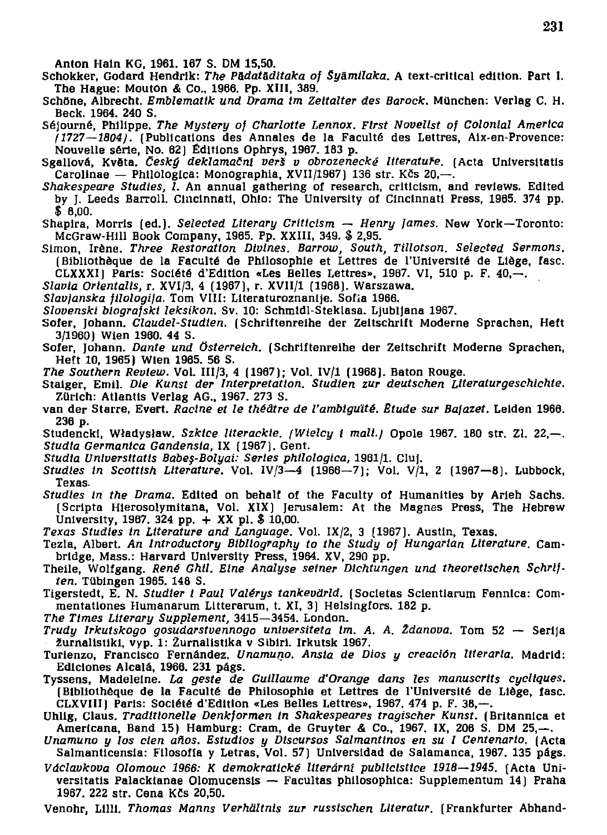Anton Hain KG, 1961, 167 S. DM 15,50.

- Schokker, Godard Hendrik: *The Pādatāditaka of Šyāmilaka*. A text-critical edition. Part I. The Hague: Mouton & Co., 1966, Pp. XIII, 389.
- Schöne, Albrecht. *Emblematik und Drama im Zeitalter des Barock*. München: Verlag C. H. Beck. 1964. 240 S.
- Séjourné, Philippe. The Mystery of Charlotte Lennox. First Novelist of Colonial America *(1727—1804).* (Publications des Annales de la Faculté des Lettres, Aix-en-Provence: Nouvelle série, No. 62) Éditions Ophrys, 1967. 183 p.
- Sgallová, Květa. Český deklamační verš v obrozenecké literatuře. (Acta Universitatis Carolinae — Philologica: Monographia, XVII/1967) 136 str. Kčs 20,—.
- *Shakespeare Studtes, 1.* An annual gathering of research, criticism, and reviews, Edited by J. Leeds Barroll, Cincinnati, Ohio: The University of Cincinnati Press, 1965. 374 pp. \$ 8,00.
- Shapira, Morris (ed.). Selected Literary Criticism Henry James. New York—Toronto: McGraw-Hill Book Company, 1965. Pp. XXIII, 349. \$ 2,95.
- Simon , Irene . *Three Restoration Divines. Barrow, South, Tlllotson. Selected Sermons.*  (Bibliothèque de la Faculté de Philosophie et Lettres de l'Université de Liège, fasc. CLXXXI) Paris: Société d'Edition «Les Belles Lettres», 1967. VI, 510 p. F. 40,-.
- Slavia Orientalis, r. XVI/3, 4 (1967), r. XVII/1 (1968). Warszawa.
- Slavjanska filologija. Tom VIII: Literaturoznanije. Sofia 1966.
- Slovenski blografski leksikon. Sv. 10: Schmidl-Steklasa. Ljubljana 1967.
- Sofer, Johann. *Claudel-Studien.* (Schriftenreihe der Zeitschrift Moderne Sprachen, Heft 3/1960) Wien 1960. 44 S.
- Sofer, Johann. *Dante und Österreich*. (Schriftenreihe der Zeitschrift Moderne Sprachen, Heft 10, 1965) Wien 1965. 56 S.
- *The Southern Review.* Vol. III/3, 4 (1967); Vol. IV/1 (1968). Baton Rouge.
- Staiger, Emil. Die Kunst der Interpretation. Studien zur deutschen Literaturgeschichte. Zürich: Atlantis Verlag AG., 1967. 273 S.
- van de<sub>r</sub> Starre, Evert. *Racine et le théâtre de l'ambiguïté. Étude sur Bajazet*. Leiden 1966. 236 p.
- Studencki, Władysław, Szkice literackie. (Wielcy i malt.) Opole 1967. 180 str. Zł. 22,-*Studia Germanica Gandensia, IX (1967). Gent.*
- *Studia Untversttatts Babes-Bolyai: Sertes phllologlca,* 1961/1 . Cluj .
- *Studies in Scottish Literature.* Vol.  $IV/3-4$  (1966-7); Vol. V/1, 2 (1967-8). Lubbock, Texas.
- *Studies in the Drama.* Edited on behalf of the Faculty of Humanities by Arieh Sachs. (Scripta Hierosolymitana, Vol. XIX) Jerusalem: At the Magnes Press, The Hebrew University, 1967, 324 pp.  $+$  XX pl. \$ 10,00.
- *Texas Studtes in Literature and Language.* Vol . IX/2 , 3 (1967). Austin , Texas.
- Tezla , Albert . *An Introductory Bibliography to the Study of Hungarian Literature.* Cam bridge, Mass.: Harvard University Press, 1964. XV, 290 pp.
- Theile, Wolfgang. René Ghil. Eine Analyse seiner Dichtungen und theoretischen Schrif*ten.* Tübingen 1965. 148 S.
- Tigerstedt, E. N. Studier i Paul Valérys tankevärld. (Societas Scientlarum Fennica: Commentationes Humanarum Litterarum, t. XI, 3) Helsingfors. 182 p.
- *The Times Literary Supplement,* 3415—3454 . London .
- *Trudy Irkutskogo gosudarstvennogo universiteta im. A. A. Ždanova.* Tom 52 Serija žurnalistiki, vyp. 1: Žurnalistika v Sibiri. Irkutsk 1967.
- Turienzo, Francisco Fernández, Unamuno. Ansia de Dios y creación literaria. Madrid: Ediciones Alcalá, 1966. 231 págs.
- Tyssens, Madeleine. La geste de Guillaume d'Orange dans les manuscrits cycliques. (Bibliothèque de la Faculté de Philosophie et Lettres de l'Université de Liège, fasc. CLXVIII) Paris: Société d'Edition «Les Belles Lettres», 1967. 474 p. F. 38,--.
- Uhlig, Claus, Traditionelle Denkformen in Shakespeares tragischer Kunst. (Britannica et Americana, Band 15) Hamburg: Cram, de Gruyter & Co., 1967. IX, 206 S. DM 25, $-$ .
- Unamuno y los cien años. Estudios y Discursos Salmantinos en su I Centenario. (Acta Salmanticensia: Filosofía y Letras, Vol. 57) Universidad de Salamanca, 1967. 135 págs.
- Václavkova Olomouc 1966: K demokratické literární publicistice 1918–1945. (Acta Universitatis Palackianae Olomucensis — Facultas philosophica: Supplementum 14) Praha 1967, 222 str. Cena Kčs 20,50.
- Venohr, Lilli. Thomas Manns Verhältnis zur russischen Literatur. (Frankfurter Abhand-